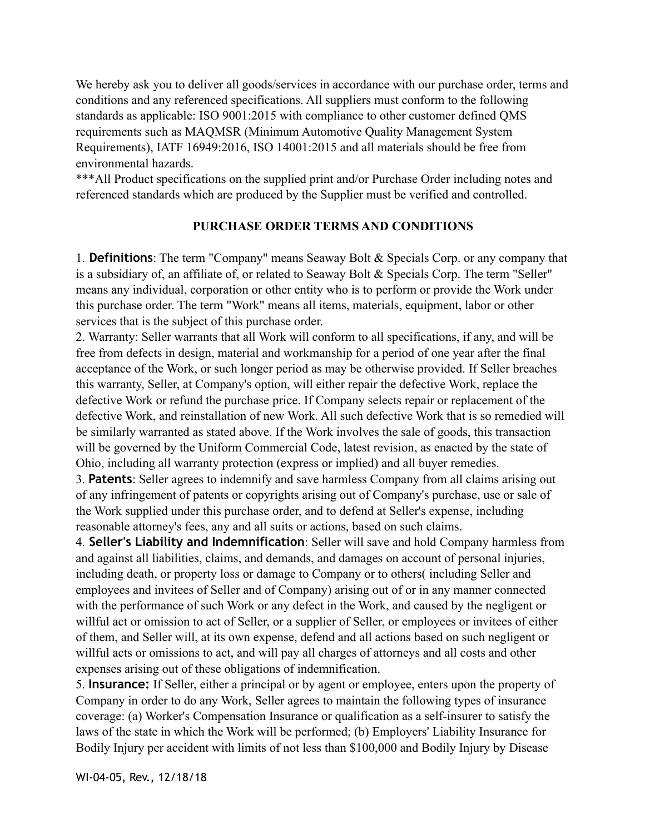We hereby ask you to deliver all goods/services in accordance with our purchase order, terms and conditions and any referenced specifications. All suppliers must conform to the following standards as applicable: ISO 9001:2015 with compliance to other customer defined QMS requirements such as MAQMSR (Minimum Automotive Quality Management System Requirements), IATF 16949:2016, ISO 14001:2015 and all materials should be free from environmental hazards.

\*\*\*All Product specifications on the supplied print and/or Purchase Order including notes and referenced standards which are produced by the Supplier must be verified and controlled.

## **PURCHASE ORDER TERMS AND CONDITIONS**

1. **Definitions**: The term "Company" means Seaway Bolt & Specials Corp. or any company that is a subsidiary of, an affiliate of, or related to Seaway Bolt & Specials Corp. The term "Seller" means any individual, corporation or other entity who is to perform or provide the Work under this purchase order. The term "Work" means all items, materials, equipment, labor or other services that is the subject of this purchase order.

2. Warranty: Seller warrants that all Work will conform to all specifications, if any, and will be free from defects in design, material and workmanship for a period of one year after the final acceptance of the Work, or such longer period as may be otherwise provided. If Seller breaches this warranty, Seller, at Company's option, will either repair the defective Work, replace the defective Work or refund the purchase price. If Company selects repair or replacement of the defective Work, and reinstallation of new Work. All such defective Work that is so remedied will be similarly warranted as stated above. If the Work involves the sale of goods, this transaction will be governed by the Uniform Commercial Code, latest revision, as enacted by the state of Ohio, including all warranty protection (express or implied) and all buyer remedies.

3. **Patents**: Seller agrees to indemnify and save harmless Company from all claims arising out of any infringement of patents or copyrights arising out of Company's purchase, use or sale of the Work supplied under this purchase order, and to defend at Seller's expense, including reasonable attorney's fees, any and all suits or actions, based on such claims.

4. **Seller's Liability and Indemnification**: Seller will save and hold Company harmless from and against all liabilities, claims, and demands, and damages on account of personal injuries, including death, or property loss or damage to Company or to others( including Seller and employees and invitees of Seller and of Company) arising out of or in any manner connected with the performance of such Work or any defect in the Work, and caused by the negligent or willful act or omission to act of Seller, or a supplier of Seller, or employees or invitees of either of them, and Seller will, at its own expense, defend and all actions based on such negligent or willful acts or omissions to act, and will pay all charges of attorneys and all costs and other expenses arising out of these obligations of indemnification.

5. **Insurance:** If Seller, either a principal or by agent or employee, enters upon the property of Company in order to do any Work, Seller agrees to maintain the following types of insurance coverage: (a) Worker's Compensation Insurance or qualification as a self-insurer to satisfy the laws of the state in which the Work will be performed; (b) Employers' Liability Insurance for Bodily Injury per accident with limits of not less than \$100,000 and Bodily Injury by Disease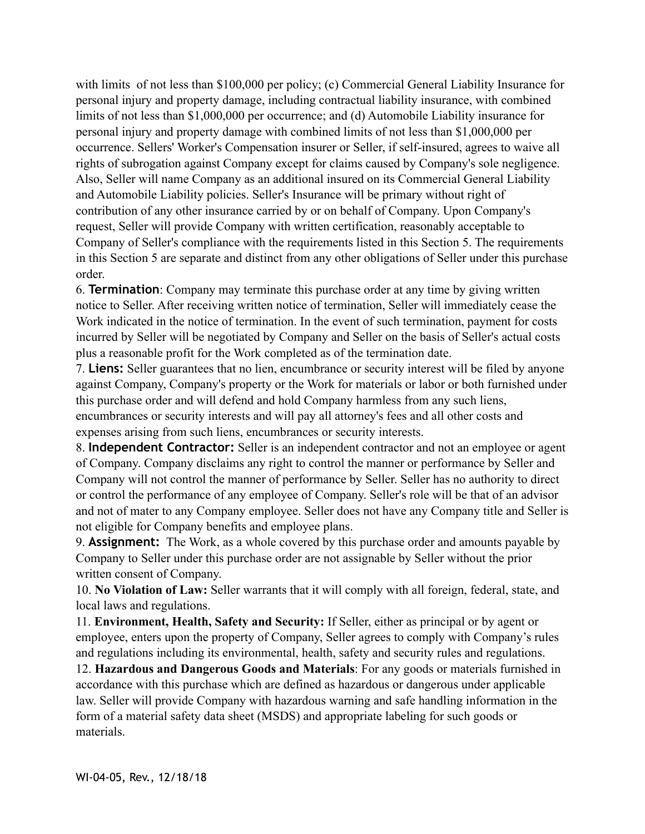with limits of not less than \$100,000 per policy; (c) Commercial General Liability Insurance for personal injury and property damage, including contractual liability insurance, with combined limits of not less than \$1,000,000 per occurrence; and (d) Automobile Liability insurance for personal injury and property damage with combined limits of not less than \$1,000,000 per occurrence. Sellers' Worker's Compensation insurer or Seller, if self-insured, agrees to waive all rights of subrogation against Company except for claims caused by Company's sole negligence. Also, Seller will name Company as an additional insured on its Commercial General Liability and Automobile Liability policies. Seller's Insurance will be primary without right of contribution of any other insurance carried by or on behalf of Company. Upon Company's request, Seller will provide Company with written certification, reasonably acceptable to Company of Seller's compliance with the requirements listed in this Section 5. The requirements in this Section 5 are separate and distinct from any other obligations of Seller under this purchase order.

6. **Termination**: Company may terminate this purchase order at any time by giving written notice to Seller. After receiving written notice of termination, Seller will immediately cease the Work indicated in the notice of termination. In the event of such termination, payment for costs incurred by Seller will be negotiated by Company and Seller on the basis of Seller's actual costs plus a reasonable profit for the Work completed as of the termination date.

7. **Liens:** Seller guarantees that no lien, encumbrance or security interest will be filed by anyone against Company, Company's property or the Work for materials or labor or both furnished under this purchase order and will defend and hold Company harmless from any such liens, encumbrances or security interests and will pay all attorney's fees and all other costs and expenses arising from such liens, encumbrances or security interests.

8. **Independent Contractor:** Seller is an independent contractor and not an employee or agent of Company. Company disclaims any right to control the manner or performance by Seller and Company will not control the manner of performance by Seller. Seller has no authority to direct or control the performance of any employee of Company. Seller's role will be that of an advisor and not of mater to any Company employee. Seller does not have any Company title and Seller is not eligible for Company benefits and employee plans.

9. **Assignment:** The Work, as a whole covered by this purchase order and amounts payable by Company to Seller under this purchase order are not assignable by Seller without the prior written consent of Company.

10. **No Violation of Law:** Seller warrants that it will comply with all foreign, federal, state, and local laws and regulations.

11. **Environment, Health, Safety and Security:** If Seller, either as principal or by agent or employee, enters upon the property of Company, Seller agrees to comply with Company's rules and regulations including its environmental, health, safety and security rules and regulations.

12. **Hazardous and Dangerous Goods and Materials**: For any goods or materials furnished in accordance with this purchase which are defined as hazardous or dangerous under applicable law. Seller will provide Company with hazardous warning and safe handling information in the form of a material safety data sheet (MSDS) and appropriate labeling for such goods or materials.